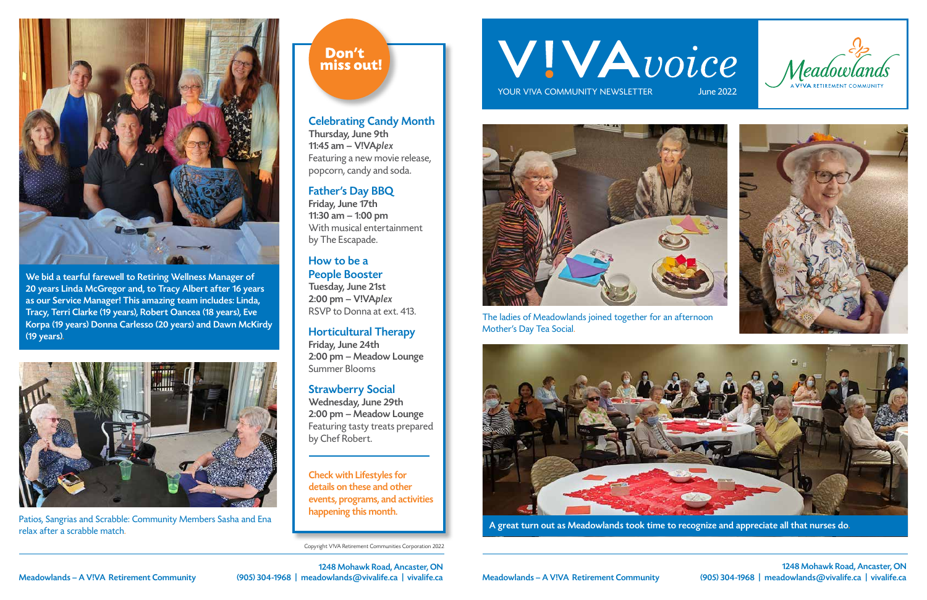Copyright V!VA Retirement Communities Corporation 2022

# WIVAvoice

YOUR VIVA COMMUNITY NEWSLETTER

### Celebrating Candy Month

Thursday, June 9th 11:45 am – V!VAplex Featuring a new movie release, popcorn, candy and soda.

## Father's Day BBQ

Friday, June 17th 11:30 am – 1:00 pm With musical entertainment by The Escapade.

## How to be a People Booster

Tuesday, June 21st 2:00 pm – V!VAplex RSVP to Donna at ext. 413.

## Horticultural Therapy

Friday, June 24th 2:00 pm – Meadow Lounge Summer Blooms

#### Strawberry Social

Wednesday, June 29th 2:00 pm – Meadow Lounge Featuring tasty treats prepared by Chef Robert.



Patios, Sangrias and Scrabble: Community Members Sasha and Ena<br>Patios, Sangrias and Scrabble: Community Members Sasha and Ena<br>Patios, Sangrias and Appreciate all that nurses do. relax after a scrabble match.

# Don't miss out!

1248 Mohawk Road, Ancaster, ON Meadowlands – A V!VA Retirement Community (905) 304-1968 | meadowlands@vivalife.ca | vivalife.ca

1248 Mohawk Road, Ancaster, ON Meadowlands – A V!VA Retirement Community (905) 304-1968 | meadowlands@vivalife.ca | vivalife.ca







Check with Lifestyles for details on these and other events, programs, and activities happening this month.



The ladies of Meadowlands joined together for an afternoon Mother's Day Tea Social.





We bid a tearful farewell to Retiring Wellness Manager of 20 years Linda McGregor and, to Tracy Albert after 16 years as our Service Manager! This amazing team includes: Linda, Tracy, Terri Clarke (19 years), Robert Oancea (18 years), Eve Korpa (19 years) Donna Carlesso (20 years) and Dawn McKirdy (19 years).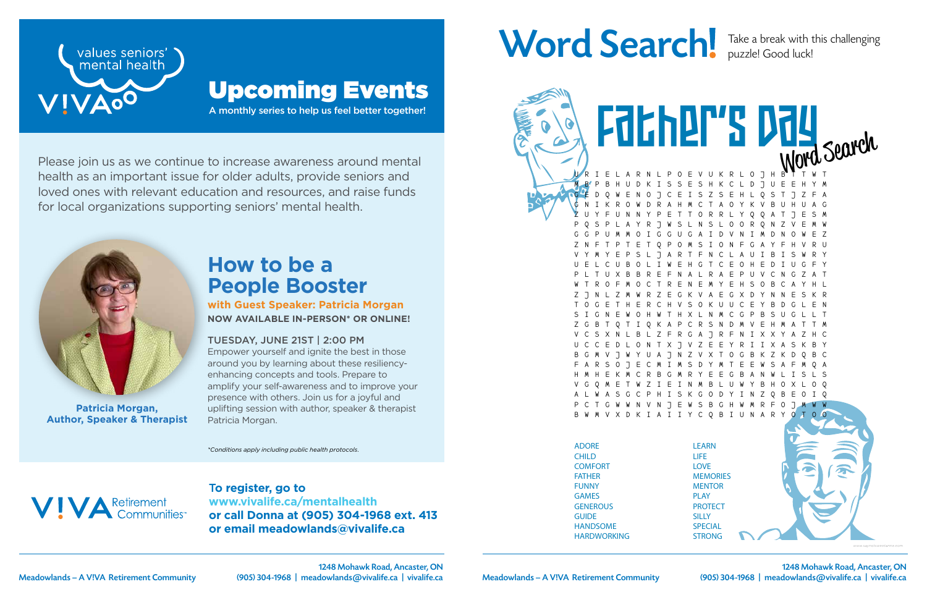1248 Mohawk Road, Ancaster, ON



T**o register, go to www.vivalife.ca/mentalhealth or call Donna at (905) 304-1968 ext. 413 or email meadowlands@vivalife.ca**

# Word Search! Take a break with this challenging



Please join us as we continue to increase awareness around mental health as an important issue for older adults, provide seniors and loved ones with relevant education and resources, and raise funds for local organizations supporting seniors' mental health.

A monthly series to help us feel better together!



# Upcoming Events

*\*Conditions apply including public health protocols.*



# **How to be a People Booster**

**with Guest Speaker: Patricia Morgan NOW AVAILABLE IN-PERSON\* OR ONLINE!**

#### TUESDAY, JUNE 21ST | 2:00 PM

Empower yourself and ignite the best in those around you by learning about these resiliencyenhancing concepts and tools. Prepare to amplify your self-awareness and to improve your presence with others. Join us for a joyful and uplifting session with author, speaker & therapist Patricia Morgan.



**Patricia Morgan, Author, Speaker & Therapist**

puzzle! Good luck!

E V U K R L O J H M B P B H U D K I S S E S H K C L D J U E E H Y M G E D Q W E N O J C E I S Z S E H L Q S T J Z F A G N I K R O W D R A H M C T A O Y K V B U H U A G Z U Y F U N N Y P E T T O R R L Y Q Q A T J E S M P Q S P L A Y R J W S L N S L O O R Q N Z V E M W G G P U M M O I G G U G A I D V N I M D N O W E Z Z N F T P T E T Q P O M S I O N F G A Y F H V R U V Y M Y E P S L J A R T F N C L A U I B I S W R Y U E L C U B O L I W E H G T C E O H E D I U G F Y P L T U X B B R E F N A L R A E P U V C N G Z A T W T R O F M O C T R E N E M Y E H S O B C A Y H L Z J N L Z M W R Z E G K V A E G X D Y N N E S K R T O G E T H E R C H V S O K U U C E Y B D G L E N S I G N E W O H W T H X L N M C G P B S U G L L T A P C R S N V C S X N L B L Z F R G A J R F N I X X Y A Z H C U C C E D L O N T X J V Z E E Y R I I X A S K B Y 8 7 N 7 V X T F A R S O J E C M I M S D Y M T E E W S A F M Q A H M H E K M C R B G M R Y E E G B A N W L I S L S V G Q M E T W Z I E I N M B L U W Y B H O X L O Q S K G O D Y I N Z N V N J E W S B G H W M R F V X D K I A I I Y C Q B I U N A R Father's Day

ADORE CHILD **COMFORT** FATHER FUNNY GAMES **GENEROUS GUIDE** HANDSOME HARDWORKING

Husband (1989)

LEARN LIFE LOVE **MEMORIES MENTOR** PLAY **PROTECT SILLY SPECIAL** STRONG

SWEET

*www.saynotsweetanne.com*

Meadowlands – A V!VA Retirement Community (905) 304-1968 | meadowlands@vivalife.ca | vivalife.ca | Meadowlands – A V!VA Retirement Community (905) 304-1968 | meadowlands@vivalife.ca | vivalife.ca 1248 Mohawk Road, Ancaster, ON (905) 304-1968 | meadowlands@vivalife.ca | vivalife.ca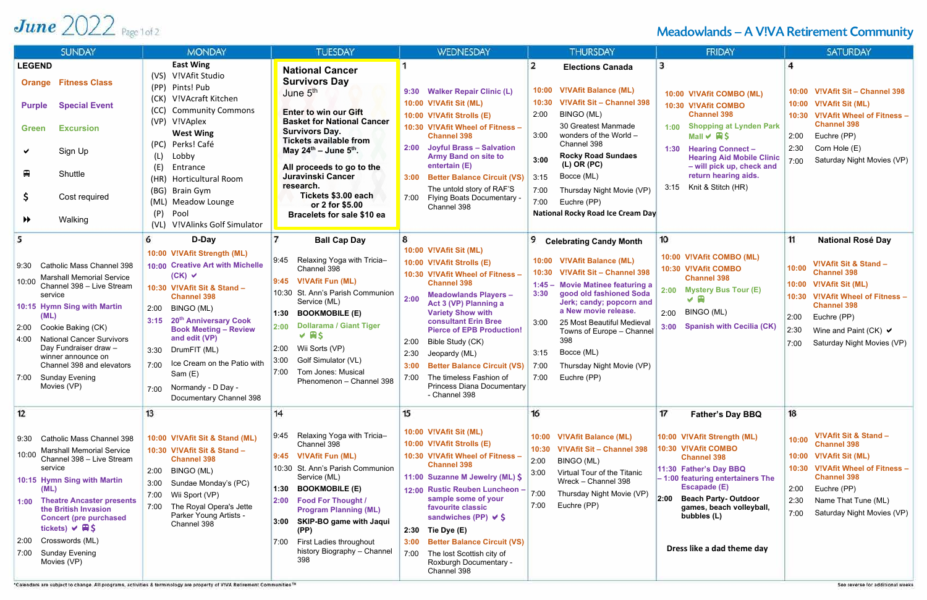# June  $2022$  Page 1 of 2

| <b>SUNDAY</b>                                                                                                                                                                                                                                                                                                                                                           | <b>MONDAY</b>                                                                                                                                                                                                                                                                                                                                                                                       | <b>TUESDAY</b>                                                                                                                                                                                                                                                                                                                                                                                | <b>WEDNESDAY</b>                                                                                                                                                                                                                                                                                                                                                                                                                                                               | <b>THURSDAY</b>                                                                                                                                                                                                                                                                                                                                                                           | <b>FRIDAY</b>                                                                                                                                                                                                                                                                                                   | <b>SATURDAY</b>                                                                                                                                                                                                                                                                  |
|-------------------------------------------------------------------------------------------------------------------------------------------------------------------------------------------------------------------------------------------------------------------------------------------------------------------------------------------------------------------------|-----------------------------------------------------------------------------------------------------------------------------------------------------------------------------------------------------------------------------------------------------------------------------------------------------------------------------------------------------------------------------------------------------|-----------------------------------------------------------------------------------------------------------------------------------------------------------------------------------------------------------------------------------------------------------------------------------------------------------------------------------------------------------------------------------------------|--------------------------------------------------------------------------------------------------------------------------------------------------------------------------------------------------------------------------------------------------------------------------------------------------------------------------------------------------------------------------------------------------------------------------------------------------------------------------------|-------------------------------------------------------------------------------------------------------------------------------------------------------------------------------------------------------------------------------------------------------------------------------------------------------------------------------------------------------------------------------------------|-----------------------------------------------------------------------------------------------------------------------------------------------------------------------------------------------------------------------------------------------------------------------------------------------------------------|----------------------------------------------------------------------------------------------------------------------------------------------------------------------------------------------------------------------------------------------------------------------------------|
| <b>LEGEND</b><br><b>Orange Fitness Class</b><br><b>Special Event</b><br><b>Purple</b><br><b>Excursion</b><br><b>Green</b><br>Sign Up<br>$\blacksquare$<br>Shuttle<br>Cost required<br>Walking<br>$\blacktriangleright$                                                                                                                                                  | <b>East Wing</b><br>V!VAfit Studio<br>(VS)<br>Pints! Pub<br>(PP)<br>V!VAcraft Kitchen<br>(CK)<br><b>Community Commons</b><br>(CC)<br>(VP) V!VAplex<br><b>West Wing</b><br>Perks! Café<br>(PC)<br>Lobby<br>(E)<br>Entrance<br><b>Horticultural Room</b><br>(HR)<br>(BG)<br>Brain Gym<br>Meadow Lounge<br>(ML)<br>(P)<br>Pool<br>V!VAlinks Golf Simulator<br>(VL)                                     | <b>National Cancer</b><br><b>Survivors Day</b><br>June 5 <sup>th</sup><br><b>Enter to win our Gift</b><br><b>Basket for National Cancer</b><br><b>Survivors Day.</b><br><b>Tickets available from</b><br>May $24^{\text{th}}$ – June $5^{\text{th}}$ .<br>All proceeds to go to the<br>Juravinski Cancer<br>research.<br>Tickets \$3.00 each<br>or 2 for \$5.00<br>Bracelets for sale \$10 ea | <b>Walker Repair Clinic (L)</b><br>9:30<br>10:00 V!VAfit Sit (ML)<br>10:00 V!VAfit Strolls (E)<br>10:30 V!VAfit Wheel of Fitness -<br><b>Channel 398</b><br><b>Joyful Brass - Salvation</b><br>2:00<br><b>Army Band on site to</b><br>entertain (E)<br><b>Better Balance Circuit (VS)</b><br>3:00<br>The untold story of RAF'S<br>Flying Boats Documentary -<br>7:00<br>Channel 398                                                                                            | <b>Elections Canada</b><br>10:00 V!VAfit Balance (ML)<br>V!VAfit Sit - Channel 398<br>10:30<br>2:00<br>BINGO (ML)<br>30 Greatest Manmade<br>3:00<br>wonders of the World -<br>Channel 398<br><b>Rocky Road Sundaes</b><br>3:00<br>$(L)$ OR $(PC)$<br>Bocce (ML)<br>3:15<br>7:00<br>Thursday Night Movie (VP)<br>7:00<br>Euchre (PP)<br>National Rocky Road Ice Cream Day                  | 3<br>10:00 V!VAfit COMBO (ML)<br>10:30 V!VAfit COMBO<br><b>Channel 398</b><br><b>Shopping at Lynden Park</b><br>1:00<br>Mall $\vee$ $\boxplus$ \$<br>1:30 Hearing Connect -<br><b>Hearing Aid Mobile Clinic</b><br>- will pick up, check and<br>return hearing aids.<br>3:15 Knit & Stitch (HR)                 | 4<br>V!VAfit Sit - Channel 398<br>10:00<br>10:00 V!VAfit Sit (ML)<br>10:30 V!VAfit Wheel of Fitness -<br><b>Channel 398</b><br>Euchre (PP)<br>2:00<br>2:30<br>Corn Hole (E)<br>Saturday Night Movies (VP)<br>7:00                                                                |
| <b>Catholic Mass Channel 398</b><br>9:30<br><b>Marshall Memorial Service</b><br>10:00<br>Channel 398 - Live Stream<br>service<br>10:15 Hymn Sing with Martin<br>(ML)<br>Cookie Baking (CK)<br>2:00<br><b>National Cancer Survivors</b><br>4:00<br>Day Fundraiser draw -<br>winner announce on<br>Channel 398 and elevators<br>7:00 Sunday Evening<br>Movies (VP)        | 6<br>D-Day<br>10:00 V!VAfit Strength (ML)<br>10:00 Creative Art with Michelle<br>$(CK)$ $\checkmark$<br>10:30 V!VAfit Sit & Stand -<br><b>Channel 398</b><br>BINGO (ML)<br>2:00<br>3:15 20th Anniversary Cook<br><b>Book Meeting - Review</b><br>and edit (VP)<br>DrumFIT (ML)<br>3:30<br>Ice Cream on the Patio with<br>7:00<br>Sam $(E)$<br>Normandy - D Day -<br>7:00<br>Documentary Channel 398 | <b>Ball Cap Day</b><br>Relaxing Yoga with Tricia-<br>9:45<br>Channel 398<br>9:45 V!VAfit Fun (ML)<br>10:30 St. Ann's Parish Communion<br>Service (ML)<br><b>BOOKMOBILE (E)</b><br>1:30<br><b>Dollarama / Giant Tiger</b><br>2:00<br>$V$ HS<br>Wii Sorts (VP)<br>2:00<br>Golf Simulator (VL)<br>3:00<br>Tom Jones: Musical<br>7:00<br>Phenomenon - Channel 398                                 | 8<br>10:00 V!VAfit Sit (ML)<br>10:00 V!VAfit Strolls (E)<br>10:30 V!VAfit Wheel of Fitness -<br><b>Channel 398</b><br><b>Meadowlands Players -</b><br>2:00<br>Act 3 (VP) Planning a<br><b>Variety Show with</b><br><b>consultant Erin Bree</b><br><b>Pierce of EPB Production!</b><br>Bible Study (CK)<br>2:00<br>2:30<br>Jeopardy (ML)<br><b>Better Balance Circuit (VS)</b><br>3:00<br>The timeless Fashion of<br>7:00<br><b>Princess Diana Documentary</b><br>- Channel 398 | <b>Celebrating Candy Month</b><br>10:00 V!VAfit Balance (ML)<br>10:30<br>V!VAfit Sit - Channel 398<br>1:45 - Movie Matinee featuring a<br>good old fashioned Soda<br>3:30<br>Jerk; candy; popcorn and<br>a New movie release.<br>3:00<br>25 Most Beautiful Medieval<br>Towns of Europe - Channel<br>398<br>Bocce (ML)<br>3:15<br>7:00<br>Thursday Night Movie (VP)<br>7:00<br>Euchre (PP) | 10<br>10:00 V!VAfit COMBO (ML)<br>10:30 V!VAfit COMBO<br><b>Channel 398</b><br><b>Mystery Bus Tour (E)</b><br>2:00<br>$\vee$ 8<br>BINGO (ML)<br>2:00<br><b>Spanish with Cecilia (CK)</b><br>3:00                                                                                                                | 11<br><b>National Rosé Day</b><br>V!VAfit Sit & Stand -<br>10:00<br><b>Channel 398</b><br>10:00 V!VAfit Sit (ML)<br>V!VAfit Wheel of Fitness -<br>10:30<br><b>Channel 398</b><br>2:00<br>Euchre (PP)<br>2:30<br>Wine and Paint (CK) $\vee$<br>Saturday Night Movies (VP)<br>7:00 |
| 12<br>Catholic Mass Channel 398<br>9:30<br><b>Marshall Memorial Service</b><br>10:00<br>Channel 398 - Live Stream<br>service<br>10:15 Hymn Sing with Martin<br>(ML)<br><b>Theatre Ancaster presents</b><br>1:00<br>the British Invasion<br><b>Concert (pre purchased</b><br>tickets) $\vee \mathbb{R}$ \$<br>2:00 Crosswords (ML)<br>7:00 Sunday Evening<br>Movies (VP) | 13<br>10:00 V!VAfit Sit & Stand (ML)<br>10:30 V!VAfit Sit & Stand -<br><b>Channel 398</b><br>BINGO (ML)<br>2:00<br>Sundae Monday's (PC)<br>3:00<br>Wii Sport (VP)<br>7:00<br>The Royal Opera's Jette<br>Parker Young Artists -<br>Channel 398                                                                                                                                                       | 14<br>Relaxing Yoga with Tricia-<br>  9:45<br>Channel 398<br><b>V!VAfit Fun (ML)</b><br>9:45<br>10:30 St. Ann's Parish Communion<br>Service (ML)<br><b>BOOKMOBILE (E)</b><br>1:30<br><b>Food For Thought /</b><br>2:00<br><b>Program Planning (ML)</b><br><b>SKIP-BO game with Jaqui</b><br>3:00<br>(PP)<br>First Ladies throughout<br>7:00<br>history Biography - Channel<br>398             | 15<br>10:00 V!VAfit Sit (ML)<br>10:00 V!VAfit Strolls (E)<br>10:30 V!VAfit Wheel of Fitness -<br><b>Channel 398</b><br>11:00 Suzanne M Jewelry (ML) \$<br>12:00 Rustic Reuben Luncheon -<br>sample some of your<br>favourite classic<br>sandwiches (PP) $\vee$ \$<br>Tie Dye (E)<br>2:30<br><b>Better Balance Circuit (VS)</b><br>3:00<br>The lost Scottish city of<br>7:00<br>Roxburgh Documentary -<br>Channel 398                                                           | 16<br>10:00 V!VAfit Balance (ML)<br>V!VAfit Sit - Channel 398<br>10:30<br>2:00<br>BINGO (ML)<br>Virtual Tour of the Titanic<br>3:00<br>Wreck - Channel 398<br>7:00<br>Thursday Night Movie (VP)<br>7:00<br>Euchre (PP)                                                                                                                                                                    | 17<br><b>Father's Day BBQ</b><br>10:00 V!VAfit Strength (ML)<br>10:30 V!VAfit COMBO<br><b>Channel 398</b><br>11:30 Father's Day BBQ<br>$-1:00$ featuring entertainers The<br><b>Escapade (E)</b><br>2:00<br><b>Beach Party-Outdoor</b><br>games, beach volleyball,<br>bubbles (L)<br>Dress like a dad theme day | 18<br>V!VAfit Sit & Stand -<br>10:00<br><b>Channel 398</b><br>10:00 V!VAfit Sit (ML)<br>V!VAfit Wheel of Fitness -<br>10:30<br><b>Channel 398</b><br>Euchre (PP)<br>2:00<br>2:30<br>Name That Tune (ML)<br>Saturday Night Movies (VP)<br>7:00                                    |

\*Calendars are subject to change. All programs, activities & terminology are property of VIVA Retirement Communities \*\*

Meadowlands - A V!VA Retirement Community